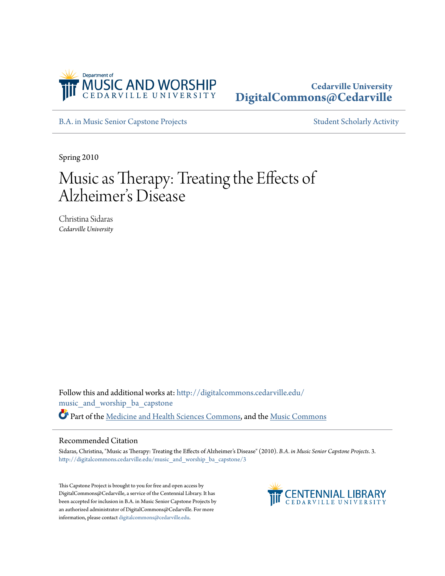

# **Cedarville University [DigitalCommons@Cedarville](http://digitalcommons.cedarville.edu?utm_source=digitalcommons.cedarville.edu%2Fmusic_and_worship_ba_capstone%2F3&utm_medium=PDF&utm_campaign=PDFCoverPages)**

[B.A. in Music Senior Capstone Projects](http://digitalcommons.cedarville.edu/music_and_worship_ba_capstone?utm_source=digitalcommons.cedarville.edu%2Fmusic_and_worship_ba_capstone%2F3&utm_medium=PDF&utm_campaign=PDFCoverPages) [Student Scholarly Activity](http://digitalcommons.cedarville.edu/music_student_scholarly_activity?utm_source=digitalcommons.cedarville.edu%2Fmusic_and_worship_ba_capstone%2F3&utm_medium=PDF&utm_campaign=PDFCoverPages)

Spring 2010

# Music as Therapy: Treating the Effects of Alzheimer 's Disease

Christina Sidaras *Cedarville University*

Follow this and additional works at: [http://digitalcommons.cedarville.edu/](http://digitalcommons.cedarville.edu/music_and_worship_ba_capstone?utm_source=digitalcommons.cedarville.edu%2Fmusic_and_worship_ba_capstone%2F3&utm_medium=PDF&utm_campaign=PDFCoverPages) [music\\_and\\_worship\\_ba\\_capstone](http://digitalcommons.cedarville.edu/music_and_worship_ba_capstone?utm_source=digitalcommons.cedarville.edu%2Fmusic_and_worship_ba_capstone%2F3&utm_medium=PDF&utm_campaign=PDFCoverPages) Part of the [Medicine and Health Sciences Commons](http://network.bepress.com/hgg/discipline/648?utm_source=digitalcommons.cedarville.edu%2Fmusic_and_worship_ba_capstone%2F3&utm_medium=PDF&utm_campaign=PDFCoverPages), and the [Music Commons](http://network.bepress.com/hgg/discipline/518?utm_source=digitalcommons.cedarville.edu%2Fmusic_and_worship_ba_capstone%2F3&utm_medium=PDF&utm_campaign=PDFCoverPages)

#### Recommended Citation

Sidaras, Christina, "Music as Therapy: Treating the Effects of Alzheimer's Disease" (2010). *B.A. in Music Senior Capstone Projects*. 3. [http://digitalcommons.cedarville.edu/music\\_and\\_worship\\_ba\\_capstone/3](http://digitalcommons.cedarville.edu/music_and_worship_ba_capstone/3?utm_source=digitalcommons.cedarville.edu%2Fmusic_and_worship_ba_capstone%2F3&utm_medium=PDF&utm_campaign=PDFCoverPages)

This Capstone Project is brought to you for free and open access by DigitalCommons@Cedarville, a service of the Centennial Library. It has been accepted for inclusion in B.A. in Music Senior Capstone Projects by an authorized administrator of DigitalCommons@Cedarville. For more information, please contact [digitalcommons@cedarville.edu.](mailto:digitalcommons@cedarville.edu)

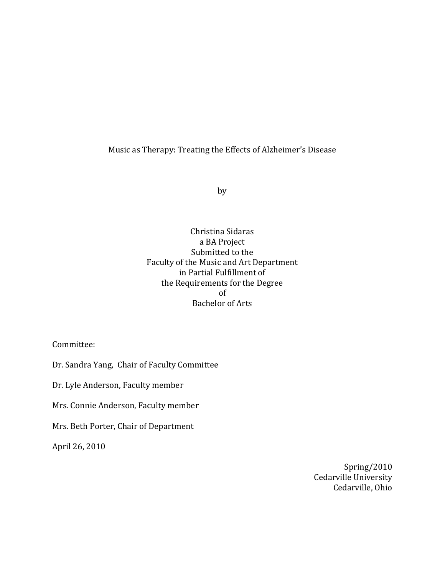# Music as Therapy: Treating the Effects of Alzheimer's Disease

by

Christina Sidaras a BA Project Submitted to the Faculty of the Music and Art Department in Partial Fulfillment of the Requirements for the Degree of Bachelor of Arts

Committee:

Dr. Sandra Yang, Chair of Faculty Committee

Dr. Lyle Anderson, Faculty member

Mrs. Connie Anderson, Faculty member

Mrs. Beth Porter, Chair of Department

April 26, 2010

Spring/2010 Cedarville University Cedarville, Ohio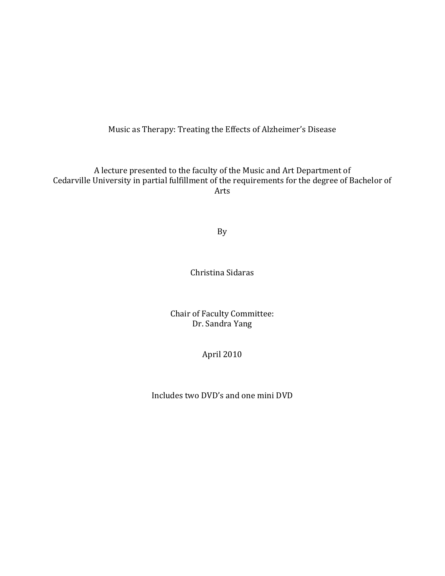Music as Therapy: Treating the Effects of Alzheimer's Disease

A lecture presented to the faculty of the Music and Art Department of Cedarville University in partial fulfillment of the requirements for the degree of Bachelor of Arts

By

Christina Sidaras

Chair of Faculty Committee: Dr. Sandra Yang

April 2010

Includes two DVD's and one mini DVD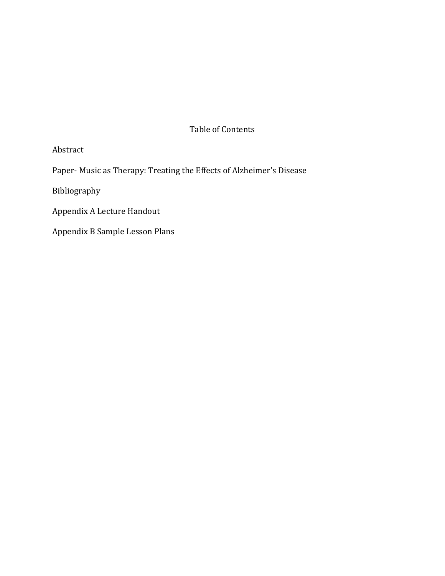# Table of Contents

# Abstract

Paper- Music as Therapy: Treating the Effects of Alzheimer's Disease

Bibliography

Appendix A Lecture Handout

Appendix B Sample Lesson Plans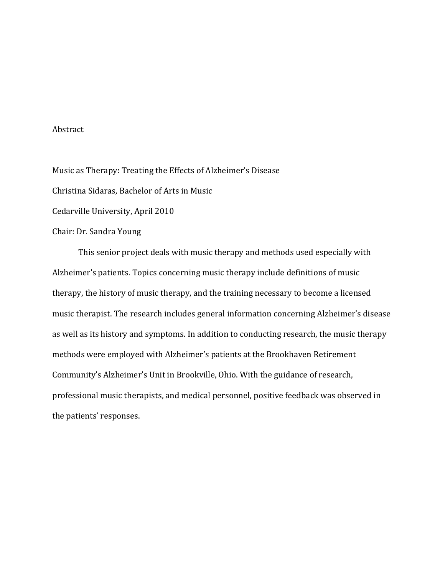### Abstract

Music as Therapy: Treating the Effects of Alzheimer's Disease Christina Sidaras, Bachelor of Arts in Music Cedarville University, April 2010 Chair: Dr. Sandra Young

This senior project deals with music therapy and methods used especially with Alzheimer's patients. Topics concerning music therapy include definitions of music therapy, the history of music therapy, and the training necessary to become a licensed music therapist. The research includes general information concerning Alzheimer's disease as well as its history and symptoms. In addition to conducting research, the music therapy methods were employed with Alzheimer's patients at the Brookhaven Retirement Community's Alzheimer's Unit in Brookville, Ohio. With the guidance of research, professional music therapists, and medical personnel, positive feedback was observed in the patients' responses.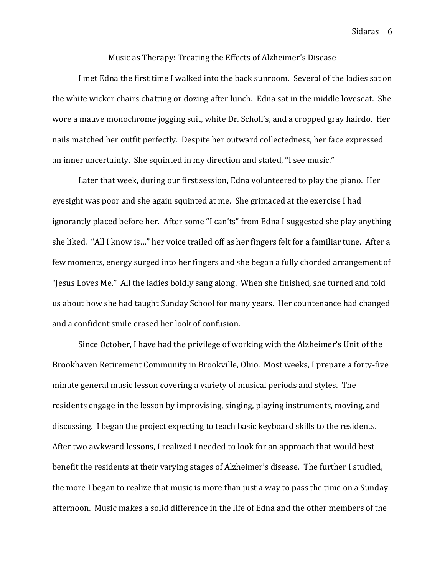Music as Therapy: Treating the Effects of Alzheimer's Disease

I met Edna the first time I walked into the back sunroom. Several of the ladies sat on the white wicker chairs chatting or dozing after lunch. Edna sat in the middle loveseat. She wore a mauve monochrome jogging suit, white Dr. Scholl's, and a cropped gray hairdo. Her nails matched her outfit perfectly. Despite her outward collectedness, her face expressed an inner uncertainty. She squinted in my direction and stated, "I see music."

 Later that week, during our first session, Edna volunteered to play the piano. Her eyesight was poor and she again squinted at me. She grimaced at the exercise I had ignorantly placed before her. After some "I can'ts" from Edna I suggested she play anything she liked. "All I know is…" her voice trailed off as her fingers felt for a familiar tune. After a few moments, energy surged into her fingers and she began a fully chorded arrangement of "Jesus Loves Me." All the ladies boldly sang along. When she finished, she turned and told us about how she had taught Sunday School for many years. Her countenance had changed and a confident smile erased her look of confusion.

 Since October, I have had the privilege of working with the Alzheimer's Unit of the Brookhaven Retirement Community in Brookville, Ohio. Most weeks, I prepare a forty-five minute general music lesson covering a variety of musical periods and styles. The residents engage in the lesson by improvising, singing, playing instruments, moving, and discussing. I began the project expecting to teach basic keyboard skills to the residents. After two awkward lessons, I realized I needed to look for an approach that would best benefit the residents at their varying stages of Alzheimer's disease. The further I studied, the more I began to realize that music is more than just a way to pass the time on a Sunday afternoon. Music makes a solid difference in the life of Edna and the other members of the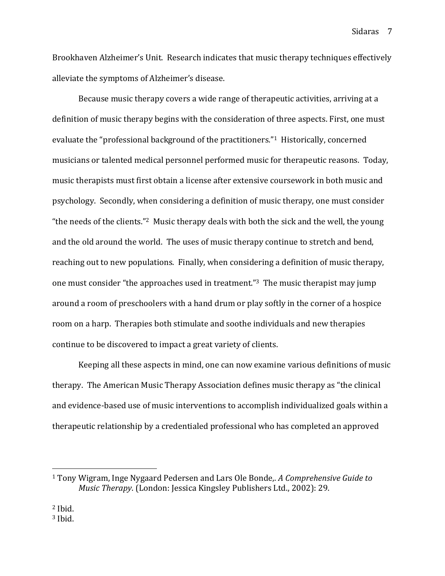Brookhaven Alzheimer's Unit. Research indicates that music therapy techniques effectively alleviate the symptoms of Alzheimer's disease.

Because music therapy covers a wide range of therapeutic activities, arriving at a definition of music therapy begins with the consideration of three aspects. First, one must evaluate the "professional background of the practitioners."1 Historically, concerned musicians or talented medical personnel performed music for therapeutic reasons. Today, music therapists must first obtain a license after extensive coursework in both music and psychology. Secondly, when considering a definition of music therapy, one must consider "the needs of the clients."2 Music therapy deals with both the sick and the well, the young and the old around the world. The uses of music therapy continue to stretch and bend, reaching out to new populations. Finally, when considering a definition of music therapy, one must consider "the approaches used in treatment."3 The music therapist may jump around a room of preschoolers with a hand drum or play softly in the corner of a hospice room on a harp. Therapies both stimulate and soothe individuals and new therapies continue to be discovered to impact a great variety of clients.

Keeping all these aspects in mind, one can now examine various definitions of music therapy. The American Music Therapy Association defines music therapy as "the clinical and evidence-based use of music interventions to accomplish individualized goals within a therapeutic relationship by a credentialed professional who has completed an approved

<sup>1</sup> Tony Wigram, Inge Nygaard Pedersen and Lars Ole Bonde,. A Comprehensive Guide to Music Therapy. (London: Jessica Kingsley Publishers Ltd., 2002): 29.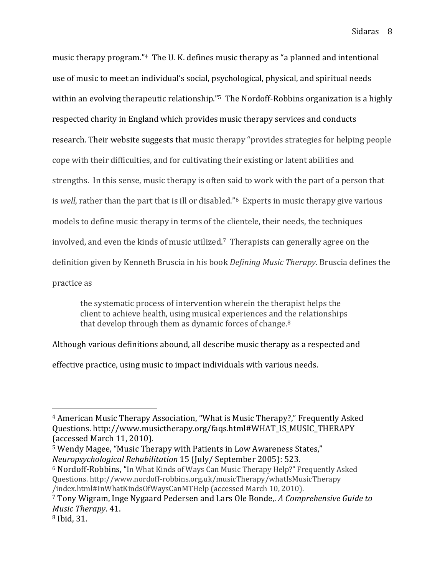music therapy program."4 The U. K. defines music therapy as "a planned and intentional use of music to meet an individual's social, psychological, physical, and spiritual needs within an evolving therapeutic relationship."<sup>5</sup> The Nordoff-Robbins organization is a highly respected charity in England which provides music therapy services and conducts research. Their website suggests that music therapy "provides strategies for helping people cope with their difficulties, and for cultivating their existing or latent abilities and strengths. In this sense, music therapy is often said to work with the part of a person that is well, rather than the part that is ill or disabled."6 Experts in music therapy give various models to define music therapy in terms of the clientele, their needs, the techniques involved, and even the kinds of music utilized.7 Therapists can generally agree on the definition given by Kenneth Bruscia in his book Defining Music Therapy. Bruscia defines the practice as

 the systematic process of intervention wherein the therapist helps the client to achieve health, using musical experiences and the relationships that develop through them as dynamic forces of change.<sup>8</sup>

Although various definitions abound, all describe music therapy as a respected and

effective practice, using music to impact individuals with various needs.

<sup>5</sup> Wendy Magee, "Music Therapy with Patients in Low Awareness States," Neuropsychological Rehabilitation 15 (July/ September 2005): 523.

<sup>6</sup> Nordoff-Robbins, "In What Kinds of Ways Can Music Therapy Help?" Frequently Asked Questions. http://www.nordoff-robbins.org.uk/musicTherapy/whatIsMusicTherapy /index.html#InWhatKindsOfWaysCanMTHelp (accessed March 10, 2010).

-

<sup>4</sup> American Music Therapy Association, "What is Music Therapy?," Frequently Asked Questions. http://www.musictherapy.org/faqs.html#WHAT\_IS\_MUSIC\_THERAPY (accessed March 11, 2010).

<sup>7</sup> Tony Wigram, Inge Nygaard Pedersen and Lars Ole Bonde,. A Comprehensive Guide to Music Therapy. 41.

<sup>8</sup> Ibid, 31.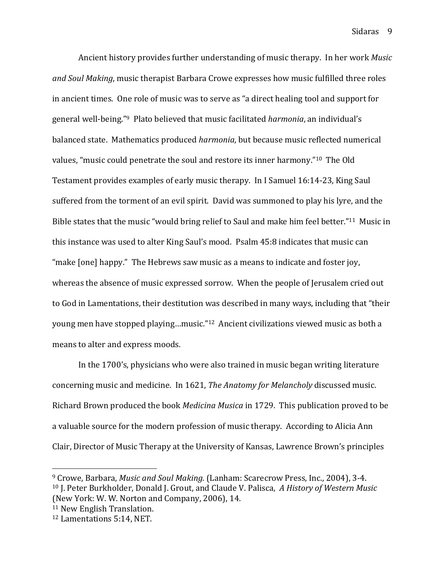Sidaras<sub>9</sub>

Ancient history provides further understanding of music therapy. In her work Music and Soul Making, music therapist Barbara Crowe expresses how music fulfilled three roles in ancient times. One role of music was to serve as "a direct healing tool and support for general well-being."9 Plato believed that music facilitated harmonia, an individual's balanced state. Mathematics produced harmonia, but because music reflected numerical values, "music could penetrate the soul and restore its inner harmony."10 The Old Testament provides examples of early music therapy. In I Samuel 16:14-23, King Saul suffered from the torment of an evil spirit. David was summoned to play his lyre, and the Bible states that the music "would bring relief to Saul and make him feel better."11 Music in this instance was used to alter King Saul's mood. Psalm 45:8 indicates that music can "make [one] happy." The Hebrews saw music as a means to indicate and foster joy, whereas the absence of music expressed sorrow. When the people of Jerusalem cried out to God in Lamentations, their destitution was described in many ways, including that "their young men have stopped playing…music."12 Ancient civilizations viewed music as both a means to alter and express moods.

In the 1700's, physicians who were also trained in music began writing literature concerning music and medicine. In 1621, The Anatomy for Melancholy discussed music. Richard Brown produced the book Medicina Musica in 1729. This publication proved to be a valuable source for the modern profession of music therapy. According to Alicia Ann Clair, Director of Music Therapy at the University of Kansas, Lawrence Brown's principles

 $\overline{a}$ 

<sup>9</sup> Crowe, Barbara, Music and Soul Making. (Lanham: Scarecrow Press, Inc., 2004), 3-4. <sup>10</sup> J. Peter Burkholder, Donald J. Grout, and Claude V. Palisca, A History of Western Music (New York: W. W. Norton and Company, 2006), 14.

<sup>11</sup> New English Translation.

<sup>12</sup> Lamentations 5:14, NET.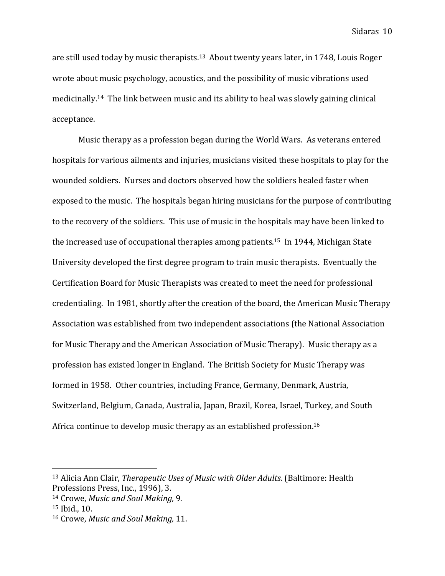are still used today by music therapists.13 About twenty years later, in 1748, Louis Roger wrote about music psychology, acoustics, and the possibility of music vibrations used medicinally.14 The link between music and its ability to heal was slowly gaining clinical acceptance.

Music therapy as a profession began during the World Wars. As veterans entered hospitals for various ailments and injuries, musicians visited these hospitals to play for the wounded soldiers. Nurses and doctors observed how the soldiers healed faster when exposed to the music. The hospitals began hiring musicians for the purpose of contributing to the recovery of the soldiers. This use of music in the hospitals may have been linked to the increased use of occupational therapies among patients.15 In 1944, Michigan State University developed the first degree program to train music therapists. Eventually the Certification Board for Music Therapists was created to meet the need for professional credentialing. In 1981, shortly after the creation of the board, the American Music Therapy Association was established from two independent associations (the National Association for Music Therapy and the American Association of Music Therapy). Music therapy as a profession has existed longer in England. The British Society for Music Therapy was formed in 1958. Other countries, including France, Germany, Denmark, Austria, Switzerland, Belgium, Canada, Australia, Japan, Brazil, Korea, Israel, Turkey, and South Africa continue to develop music therapy as an established profession.<sup>16</sup>

<sup>&</sup>lt;sup>13</sup> Alicia Ann Clair, Therapeutic Uses of Music with Older Adults. (Baltimore: Health Professions Press, Inc., 1996), 3.

<sup>14</sup> Crowe, Music and Soul Making, 9.

<sup>15</sup> Ibid., 10.

<sup>16</sup> Crowe, Music and Soul Making, 11.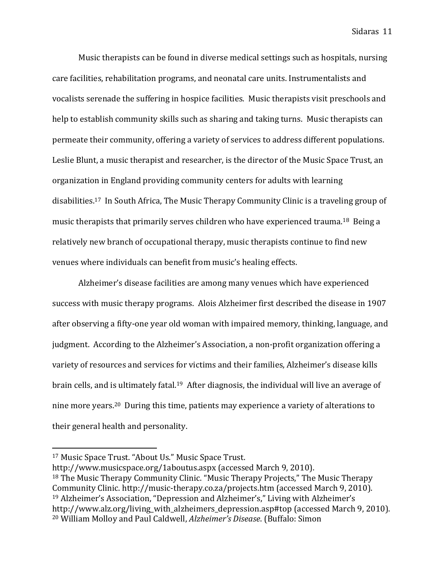Music therapists can be found in diverse medical settings such as hospitals, nursing care facilities, rehabilitation programs, and neonatal care units. Instrumentalists and vocalists serenade the suffering in hospice facilities. Music therapists visit preschools and help to establish community skills such as sharing and taking turns. Music therapists can permeate their community, offering a variety of services to address different populations. Leslie Blunt, a music therapist and researcher, is the director of the Music Space Trust, an organization in England providing community centers for adults with learning disabilities.17 In South Africa, The Music Therapy Community Clinic is a traveling group of music therapists that primarily serves children who have experienced trauma.18 Being a relatively new branch of occupational therapy, music therapists continue to find new venues where individuals can benefit from music's healing effects.

Alzheimer's disease facilities are among many venues which have experienced success with music therapy programs. Alois Alzheimer first described the disease in 1907 after observing a fifty-one year old woman with impaired memory, thinking, language, and judgment. According to the Alzheimer's Association, a non-profit organization offering a variety of resources and services for victims and their families, Alzheimer's disease kills brain cells, and is ultimately fatal.<sup>19</sup> After diagnosis, the individual will live an average of nine more years.20 During this time, patients may experience a variety of alterations to their general health and personality.

<sup>17</sup> Music Space Trust. "About Us." Music Space Trust.

http://www.musicspace.org/1aboutus.aspx (accessed March 9, 2010). <sup>18</sup> The Music Therapy Community Clinic. "Music Therapy Projects," The Music Therapy Community Clinic. http://music-therapy.co.za/projects.htm (accessed March 9, 2010). <sup>19</sup> Alzheimer's Association, "Depression and Alzheimer's," Living with Alzheimer's http://www.alz.org/living\_with\_alzheimers\_depression.asp#top (accessed March 9, 2010). 20 William Molloy and Paul Caldwell, Alzheimer's Disease. (Buffalo: Simon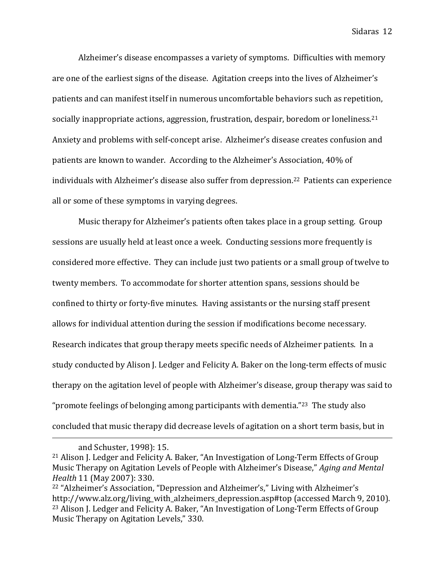Alzheimer's disease encompasses a variety of symptoms. Difficulties with memory are one of the earliest signs of the disease. Agitation creeps into the lives of Alzheimer's patients and can manifest itself in numerous uncomfortable behaviors such as repetition, socially inappropriate actions, aggression, frustration, despair, boredom or loneliness.<sup>21</sup> Anxiety and problems with self-concept arise. Alzheimer's disease creates confusion and patients are known to wander. According to the Alzheimer's Association, 40% of individuals with Alzheimer's disease also suffer from depression.22 Patients can experience all or some of these symptoms in varying degrees.

 Music therapy for Alzheimer's patients often takes place in a group setting. Group sessions are usually held at least once a week. Conducting sessions more frequently is considered more effective. They can include just two patients or a small group of twelve to twenty members. To accommodate for shorter attention spans, sessions should be confined to thirty or forty-five minutes. Having assistants or the nursing staff present allows for individual attention during the session if modifications become necessary. Research indicates that group therapy meets specific needs of Alzheimer patients. In a study conducted by Alison J. Ledger and Felicity A. Baker on the long-term effects of music therapy on the agitation level of people with Alzheimer's disease, group therapy was said to "promote feelings of belonging among participants with dementia."23 The study also concluded that music therapy did decrease levels of agitation on a short term basis, but in

and Schuster, 1998): 15.

<sup>21</sup> Alison J. Ledger and Felicity A. Baker, "An Investigation of Long-Term Effects of Group Music Therapy on Agitation Levels of People with Alzheimer's Disease," Aging and Mental Health 11 (May 2007): 330.

<sup>22</sup> "Alzheimer's Association, "Depression and Alzheimer's," Living with Alzheimer's http://www.alz.org/living\_with\_alzheimers\_depression.asp#top (accessed March 9, 2010). <sup>23</sup> Alison J. Ledger and Felicity A. Baker, "An Investigation of Long-Term Effects of Group Music Therapy on Agitation Levels," 330.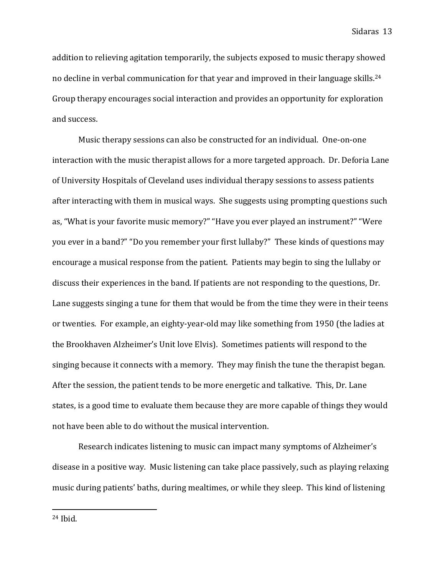addition to relieving agitation temporarily, the subjects exposed to music therapy showed no decline in verbal communication for that year and improved in their language skills.<sup>24</sup> Group therapy encourages social interaction and provides an opportunity for exploration and success.

 Music therapy sessions can also be constructed for an individual. One-on-one interaction with the music therapist allows for a more targeted approach. Dr. Deforia Lane of University Hospitals of Cleveland uses individual therapy sessions to assess patients after interacting with them in musical ways. She suggests using prompting questions such as, "What is your favorite music memory?" "Have you ever played an instrument?" "Were you ever in a band?" "Do you remember your first lullaby?" These kinds of questions may encourage a musical response from the patient. Patients may begin to sing the lullaby or discuss their experiences in the band. If patients are not responding to the questions, Dr. Lane suggests singing a tune for them that would be from the time they were in their teens or twenties. For example, an eighty-year-old may like something from 1950 (the ladies at the Brookhaven Alzheimer's Unit love Elvis). Sometimes patients will respond to the singing because it connects with a memory. They may finish the tune the therapist began. After the session, the patient tends to be more energetic and talkative. This, Dr. Lane states, is a good time to evaluate them because they are more capable of things they would not have been able to do without the musical intervention.

 Research indicates listening to music can impact many symptoms of Alzheimer's disease in a positive way. Music listening can take place passively, such as playing relaxing music during patients' baths, during mealtimes, or while they sleep. This kind of listening

24 Ibid.

-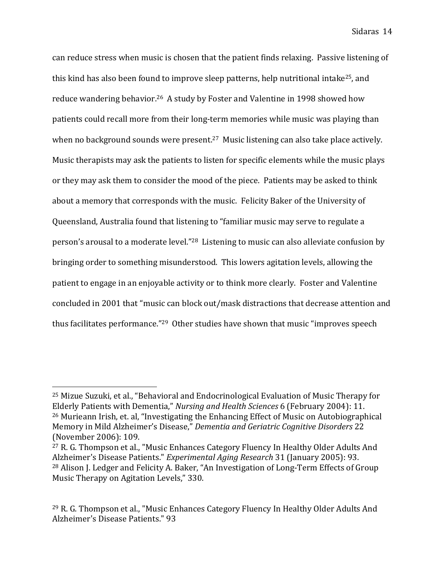can reduce stress when music is chosen that the patient finds relaxing. Passive listening of this kind has also been found to improve sleep patterns, help nutritional intake25, and reduce wandering behavior.26 A study by Foster and Valentine in 1998 showed how patients could recall more from their long-term memories while music was playing than when no background sounds were present.<sup>27</sup> Music listening can also take place actively. Music therapists may ask the patients to listen for specific elements while the music plays or they may ask them to consider the mood of the piece. Patients may be asked to think about a memory that corresponds with the music. Felicity Baker of the University of Queensland, Australia found that listening to "familiar music may serve to regulate a person's arousal to a moderate level."28 Listening to music can also alleviate confusion by bringing order to something misunderstood. This lowers agitation levels, allowing the patient to engage in an enjoyable activity or to think more clearly. Foster and Valentine concluded in 2001 that "music can block out/mask distractions that decrease attention and thus facilitates performance."29 Other studies have shown that music "improves speech

 $\overline{a}$ 

<sup>25</sup> Mizue Suzuki, et al., "Behavioral and Endocrinological Evaluation of Music Therapy for Elderly Patients with Dementia," Nursing and Health Sciences 6 (February 2004): 11. <sup>26</sup> Murieann Irish, et. al, "Investigating the Enhancing Effect of Music on Autobiographical Memory in Mild Alzheimer's Disease," Dementia and Geriatric Cognitive Disorders 22 (November 2006): 109.

<sup>27</sup> R. G. Thompson et al., "Music Enhances Category Fluency In Healthy Older Adults And Alzheimer's Disease Patients." Experimental Aging Research 31 (January 2005): 93. <sup>28</sup> Alison J. Ledger and Felicity A. Baker, "An Investigation of Long-Term Effects of Group Music Therapy on Agitation Levels," 330.

<sup>29</sup> R. G. Thompson et al., "Music Enhances Category Fluency In Healthy Older Adults And Alzheimer's Disease Patients." 93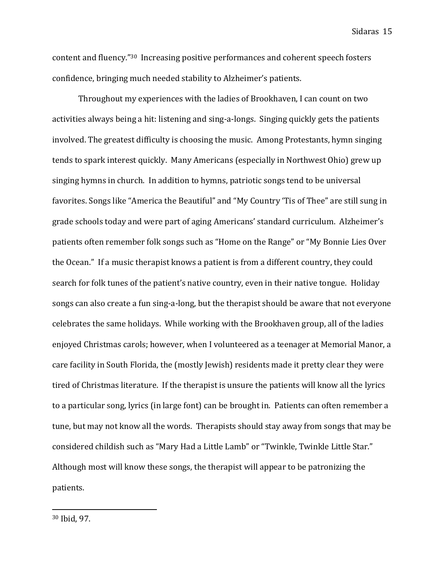content and fluency."30 Increasing positive performances and coherent speech fosters confidence, bringing much needed stability to Alzheimer's patients.

 Throughout my experiences with the ladies of Brookhaven, I can count on two activities always being a hit: listening and sing-a-longs. Singing quickly gets the patients involved. The greatest difficulty is choosing the music. Among Protestants, hymn singing tends to spark interest quickly. Many Americans (especially in Northwest Ohio) grew up singing hymns in church. In addition to hymns, patriotic songs tend to be universal favorites. Songs like "America the Beautiful" and "My Country 'Tis of Thee" are still sung in grade schools today and were part of aging Americans' standard curriculum. Alzheimer's patients often remember folk songs such as "Home on the Range" or "My Bonnie Lies Over the Ocean." If a music therapist knows a patient is from a different country, they could search for folk tunes of the patient's native country, even in their native tongue. Holiday songs can also create a fun sing-a-long, but the therapist should be aware that not everyone celebrates the same holidays. While working with the Brookhaven group, all of the ladies enjoyed Christmas carols; however, when I volunteered as a teenager at Memorial Manor, a care facility in South Florida, the (mostly Jewish) residents made it pretty clear they were tired of Christmas literature. If the therapist is unsure the patients will know all the lyrics to a particular song, lyrics (in large font) can be brought in. Patients can often remember a tune, but may not know all the words. Therapists should stay away from songs that may be considered childish such as "Mary Had a Little Lamb" or "Twinkle, Twinkle Little Star." Although most will know these songs, the therapist will appear to be patronizing the patients.

-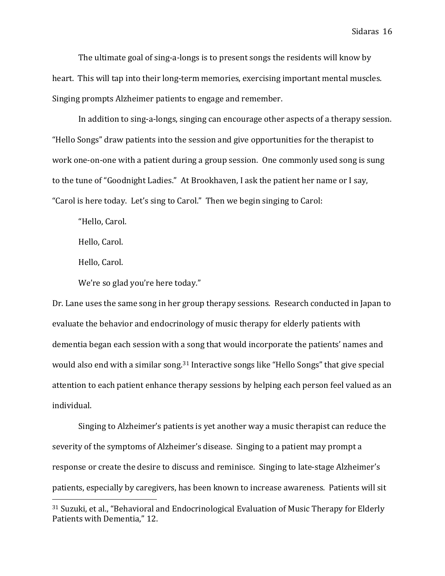The ultimate goal of sing-a-longs is to present songs the residents will know by heart. This will tap into their long-term memories, exercising important mental muscles. Singing prompts Alzheimer patients to engage and remember.

 In addition to sing-a-longs, singing can encourage other aspects of a therapy session. "Hello Songs" draw patients into the session and give opportunities for the therapist to work one-on-one with a patient during a group session. One commonly used song is sung to the tune of "Goodnight Ladies." At Brookhaven, I ask the patient her name or I say, "Carol is here today. Let's sing to Carol." Then we begin singing to Carol:

"Hello, Carol.

Hello, Carol.

Hello, Carol.

 $\overline{a}$ 

We're so glad you're here today."

Dr. Lane uses the same song in her group therapy sessions. Research conducted in Japan to evaluate the behavior and endocrinology of music therapy for elderly patients with dementia began each session with a song that would incorporate the patients' names and would also end with a similar song.31 Interactive songs like "Hello Songs" that give special attention to each patient enhance therapy sessions by helping each person feel valued as an individual.

 Singing to Alzheimer's patients is yet another way a music therapist can reduce the severity of the symptoms of Alzheimer's disease. Singing to a patient may prompt a response or create the desire to discuss and reminisce. Singing to late-stage Alzheimer's patients, especially by caregivers, has been known to increase awareness. Patients will sit

<sup>31</sup> Suzuki, et al., "Behavioral and Endocrinological Evaluation of Music Therapy for Elderly Patients with Dementia," 12.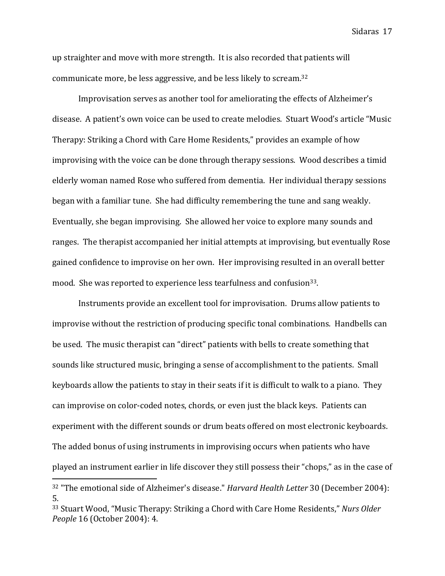up straighter and move with more strength. It is also recorded that patients will communicate more, be less aggressive, and be less likely to scream.<sup>32</sup>

 Improvisation serves as another tool for ameliorating the effects of Alzheimer's disease. A patient's own voice can be used to create melodies. Stuart Wood's article "Music Therapy: Striking a Chord with Care Home Residents," provides an example of how improvising with the voice can be done through therapy sessions. Wood describes a timid elderly woman named Rose who suffered from dementia. Her individual therapy sessions began with a familiar tune. She had difficulty remembering the tune and sang weakly. Eventually, she began improvising. She allowed her voice to explore many sounds and ranges. The therapist accompanied her initial attempts at improvising, but eventually Rose gained confidence to improvise on her own. Her improvising resulted in an overall better mood. She was reported to experience less tearfulness and confusion<sup>33</sup>.

 Instruments provide an excellent tool for improvisation. Drums allow patients to improvise without the restriction of producing specific tonal combinations. Handbells can be used. The music therapist can "direct" patients with bells to create something that sounds like structured music, bringing a sense of accomplishment to the patients. Small keyboards allow the patients to stay in their seats if it is difficult to walk to a piano. They can improvise on color-coded notes, chords, or even just the black keys. Patients can experiment with the different sounds or drum beats offered on most electronic keyboards. The added bonus of using instruments in improvising occurs when patients who have played an instrument earlier in life discover they still possess their "chops," as in the case of

<u>.</u>

Sidaras 17

<sup>&</sup>lt;sup>32</sup> "The emotional side of Alzheimer's disease." Harvard Health Letter 30 (December 2004): 5.

<sup>33</sup> Stuart Wood, "Music Therapy: Striking a Chord with Care Home Residents," Nurs Older People 16 (October 2004): 4.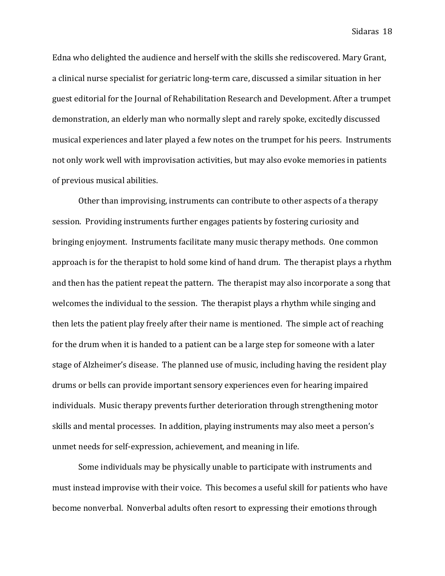Edna who delighted the audience and herself with the skills she rediscovered. Mary Grant, a clinical nurse specialist for geriatric long-term care, discussed a similar situation in her guest editorial for the Journal of Rehabilitation Research and Development. After a trumpet demonstration, an elderly man who normally slept and rarely spoke, excitedly discussed musical experiences and later played a few notes on the trumpet for his peers. Instruments not only work well with improvisation activities, but may also evoke memories in patients of previous musical abilities.

 Other than improvising, instruments can contribute to other aspects of a therapy session. Providing instruments further engages patients by fostering curiosity and bringing enjoyment. Instruments facilitate many music therapy methods. One common approach is for the therapist to hold some kind of hand drum. The therapist plays a rhythm and then has the patient repeat the pattern. The therapist may also incorporate a song that welcomes the individual to the session. The therapist plays a rhythm while singing and then lets the patient play freely after their name is mentioned. The simple act of reaching for the drum when it is handed to a patient can be a large step for someone with a later stage of Alzheimer's disease. The planned use of music, including having the resident play drums or bells can provide important sensory experiences even for hearing impaired individuals. Music therapy prevents further deterioration through strengthening motor skills and mental processes. In addition, playing instruments may also meet a person's unmet needs for self-expression, achievement, and meaning in life.

 Some individuals may be physically unable to participate with instruments and must instead improvise with their voice. This becomes a useful skill for patients who have become nonverbal. Nonverbal adults often resort to expressing their emotions through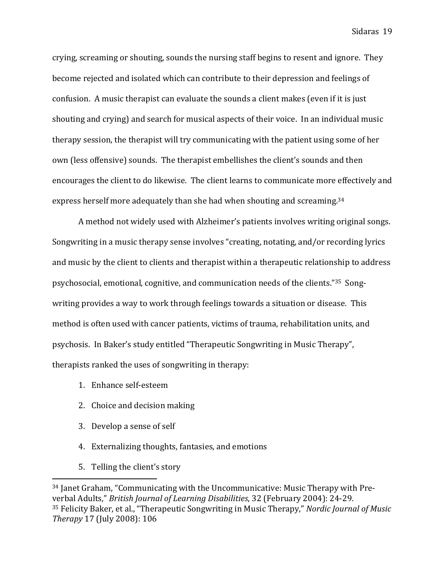crying, screaming or shouting, sounds the nursing staff begins to resent and ignore. They become rejected and isolated which can contribute to their depression and feelings of confusion. A music therapist can evaluate the sounds a client makes (even if it is just shouting and crying) and search for musical aspects of their voice. In an individual music therapy session, the therapist will try communicating with the patient using some of her own (less offensive) sounds. The therapist embellishes the client's sounds and then encourages the client to do likewise. The client learns to communicate more effectively and express herself more adequately than she had when shouting and screaming.<sup>34</sup>

 A method not widely used with Alzheimer's patients involves writing original songs. Songwriting in a music therapy sense involves "creating, notating, and/or recording lyrics and music by the client to clients and therapist within a therapeutic relationship to address psychosocial, emotional, cognitive, and communication needs of the clients."35 Songwriting provides a way to work through feelings towards a situation or disease. This method is often used with cancer patients, victims of trauma, rehabilitation units, and psychosis. In Baker's study entitled "Therapeutic Songwriting in Music Therapy", therapists ranked the uses of songwriting in therapy:

- 1. Enhance self-esteem
- 2. Choice and decision making
- 3. Develop a sense of self
- 4. Externalizing thoughts, fantasies, and emotions
- 5. Telling the client's story

<sup>34</sup> Janet Graham, "Communicating with the Uncommunicative: Music Therapy with Preverbal Adults," British Journal of Learning Disabilities, 32 (February 2004): 24-29. <sup>35</sup> Felicity Baker, et al., "Therapeutic Songwriting in Music Therapy," Nordic Journal of Music Therapy 17 (July 2008): 106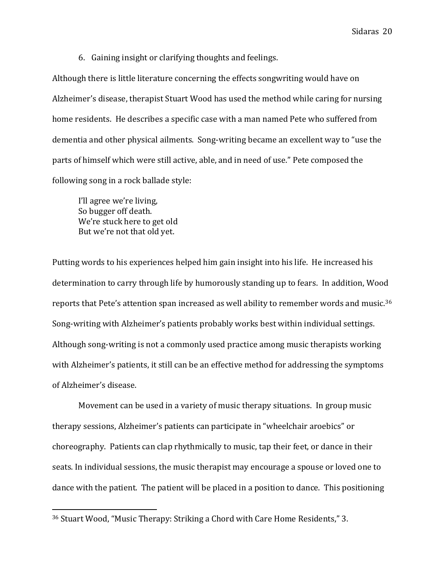6. Gaining insight or clarifying thoughts and feelings.

Although there is little literature concerning the effects songwriting would have on Alzheimer's disease, therapist Stuart Wood has used the method while caring for nursing home residents. He describes a specific case with a man named Pete who suffered from dementia and other physical ailments. Song-writing became an excellent way to "use the parts of himself which were still active, able, and in need of use." Pete composed the following song in a rock ballade style:

 I'll agree we're living, So bugger off death. We're stuck here to get old But we're not that old yet.

 $\overline{a}$ 

Putting words to his experiences helped him gain insight into his life. He increased his determination to carry through life by humorously standing up to fears. In addition, Wood reports that Pete's attention span increased as well ability to remember words and music.<sup>36</sup> Song-writing with Alzheimer's patients probably works best within individual settings. Although song-writing is not a commonly used practice among music therapists working with Alzheimer's patients, it still can be an effective method for addressing the symptoms of Alzheimer's disease.

 Movement can be used in a variety of music therapy situations. In group music therapy sessions, Alzheimer's patients can participate in "wheelchair aroebics" or choreography. Patients can clap rhythmically to music, tap their feet, or dance in their seats. In individual sessions, the music therapist may encourage a spouse or loved one to dance with the patient. The patient will be placed in a position to dance. This positioning

<sup>36</sup> Stuart Wood, "Music Therapy: Striking a Chord with Care Home Residents," 3.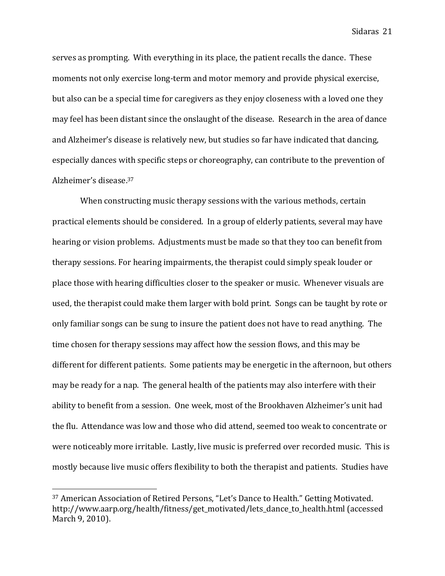serves as prompting. With everything in its place, the patient recalls the dance. These moments not only exercise long-term and motor memory and provide physical exercise, but also can be a special time for caregivers as they enjoy closeness with a loved one they may feel has been distant since the onslaught of the disease. Research in the area of dance and Alzheimer's disease is relatively new, but studies so far have indicated that dancing, especially dances with specific steps or choreography, can contribute to the prevention of Alzheimer's disease.<sup>37</sup>

 When constructing music therapy sessions with the various methods, certain practical elements should be considered. In a group of elderly patients, several may have hearing or vision problems. Adjustments must be made so that they too can benefit from therapy sessions. For hearing impairments, the therapist could simply speak louder or place those with hearing difficulties closer to the speaker or music. Whenever visuals are used, the therapist could make them larger with bold print. Songs can be taught by rote or only familiar songs can be sung to insure the patient does not have to read anything. The time chosen for therapy sessions may affect how the session flows, and this may be different for different patients. Some patients may be energetic in the afternoon, but others may be ready for a nap. The general health of the patients may also interfere with their ability to benefit from a session. One week, most of the Brookhaven Alzheimer's unit had the flu. Attendance was low and those who did attend, seemed too weak to concentrate or were noticeably more irritable. Lastly, live music is preferred over recorded music. This is mostly because live music offers flexibility to both the therapist and patients. Studies have

 $\overline{a}$ 

<sup>37</sup> American Association of Retired Persons, "Let's Dance to Health." Getting Motivated. http://www.aarp.org/health/fitness/get\_motivated/lets\_dance\_to\_health.html (accessed March 9, 2010).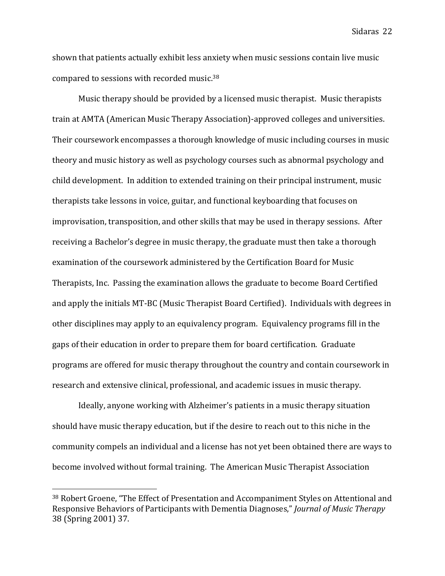shown that patients actually exhibit less anxiety when music sessions contain live music compared to sessions with recorded music.<sup>38</sup>

 Music therapy should be provided by a licensed music therapist. Music therapists train at AMTA (American Music Therapy Association)-approved colleges and universities. Their coursework encompasses a thorough knowledge of music including courses in music theory and music history as well as psychology courses such as abnormal psychology and child development. In addition to extended training on their principal instrument, music therapists take lessons in voice, guitar, and functional keyboarding that focuses on improvisation, transposition, and other skills that may be used in therapy sessions. After receiving a Bachelor's degree in music therapy, the graduate must then take a thorough examination of the coursework administered by the Certification Board for Music Therapists, Inc. Passing the examination allows the graduate to become Board Certified and apply the initials MT-BC (Music Therapist Board Certified). Individuals with degrees in other disciplines may apply to an equivalency program. Equivalency programs fill in the gaps of their education in order to prepare them for board certification. Graduate programs are offered for music therapy throughout the country and contain coursework in research and extensive clinical, professional, and academic issues in music therapy.

 Ideally, anyone working with Alzheimer's patients in a music therapy situation should have music therapy education, but if the desire to reach out to this niche in the community compels an individual and a license has not yet been obtained there are ways to become involved without formal training. The American Music Therapist Association

<sup>38</sup> Robert Groene, "The Effect of Presentation and Accompaniment Styles on Attentional and Responsive Behaviors of Participants with Dementia Diagnoses," Journal of Music Therapy 38 (Spring 2001) 37.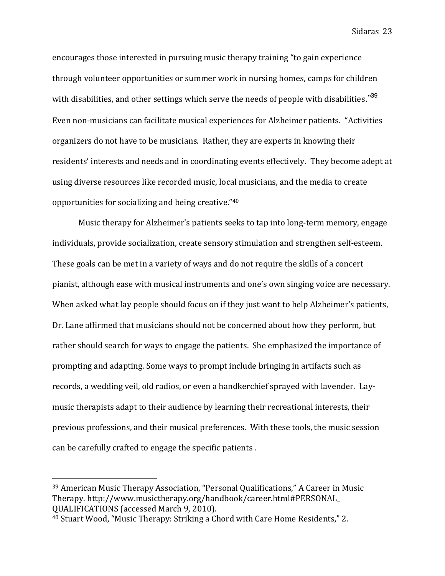encourages those interested in pursuing music therapy training "to gain experience through volunteer opportunities or summer work in nursing homes, camps for children with disabilities, and other settings which serve the needs of people with disabilities."<sup>39</sup> Even non-musicians can facilitate musical experiences for Alzheimer patients. "Activities organizers do not have to be musicians. Rather, they are experts in knowing their residents' interests and needs and in coordinating events effectively. They become adept at using diverse resources like recorded music, local musicians, and the media to create opportunities for socializing and being creative."<sup>40</sup>

Music therapy for Alzheimer's patients seeks to tap into long-term memory, engage individuals, provide socialization, create sensory stimulation and strengthen self-esteem. These goals can be met in a variety of ways and do not require the skills of a concert pianist, although ease with musical instruments and one's own singing voice are necessary. When asked what lay people should focus on if they just want to help Alzheimer's patients, Dr. Lane affirmed that musicians should not be concerned about how they perform, but rather should search for ways to engage the patients. She emphasized the importance of prompting and adapting. Some ways to prompt include bringing in artifacts such as records, a wedding veil, old radios, or even a handkerchief sprayed with lavender. Laymusic therapists adapt to their audience by learning their recreational interests, their previous professions, and their musical preferences. With these tools, the music session can be carefully crafted to engage the specific patients .

<sup>39</sup> American Music Therapy Association, "Personal Qualifications," A Career in Music Therapy. http://www.musictherapy.org/handbook/career.html#PERSONAL\_ QUALIFICATIONS (accessed March 9, 2010).

<sup>40</sup> Stuart Wood, "Music Therapy: Striking a Chord with Care Home Residents," 2.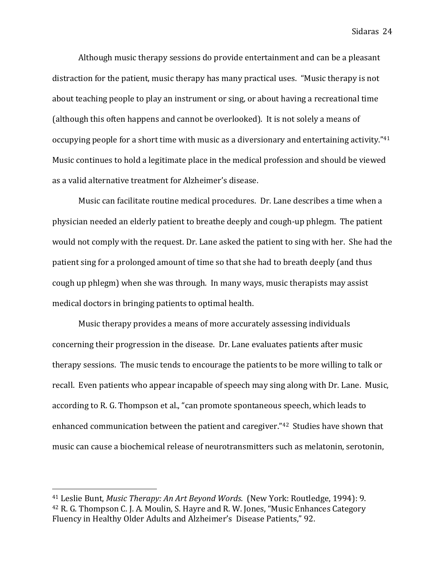Although music therapy sessions do provide entertainment and can be a pleasant distraction for the patient, music therapy has many practical uses. "Music therapy is not about teaching people to play an instrument or sing, or about having a recreational time (although this often happens and cannot be overlooked). It is not solely a means of occupying people for a short time with music as a diversionary and entertaining activity."<sup>41</sup> Music continues to hold a legitimate place in the medical profession and should be viewed as a valid alternative treatment for Alzheimer's disease.

Music can facilitate routine medical procedures. Dr. Lane describes a time when a physician needed an elderly patient to breathe deeply and cough-up phlegm. The patient would not comply with the request. Dr. Lane asked the patient to sing with her. She had the patient sing for a prolonged amount of time so that she had to breath deeply (and thus cough up phlegm) when she was through. In many ways, music therapists may assist medical doctors in bringing patients to optimal health.

Music therapy provides a means of more accurately assessing individuals concerning their progression in the disease. Dr. Lane evaluates patients after music therapy sessions. The music tends to encourage the patients to be more willing to talk or recall. Even patients who appear incapable of speech may sing along with Dr. Lane. Music, according to R. G. Thompson et al., "can promote spontaneous speech, which leads to enhanced communication between the patient and caregiver."42 Studies have shown that music can cause a biochemical release of neurotransmitters such as melatonin, serotonin,

<sup>41</sup> Leslie Bunt, Music Therapy: An Art Beyond Words. (New York: Routledge, 1994): 9. <sup>42</sup> R. G. Thompson C. J. A. Moulin, S. Hayre and R. W. Jones, "Music Enhances Category Fluency in Healthy Older Adults and Alzheimer's Disease Patients," 92.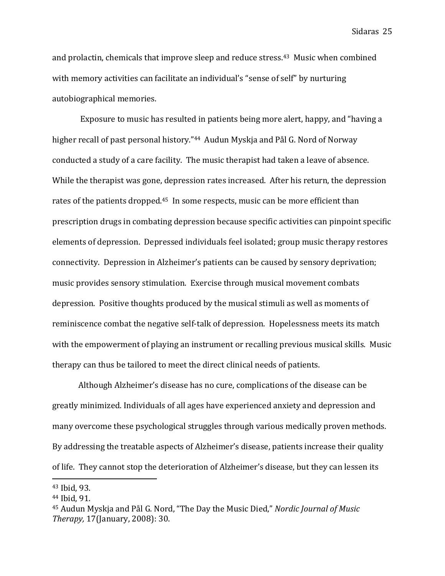and prolactin, chemicals that improve sleep and reduce stress.43 Music when combined with memory activities can facilitate an individual's "sense of self" by nurturing autobiographical memories.

 Exposure to music has resulted in patients being more alert, happy, and "having a higher recall of past personal history."44 Audun Myskja and Pål G. Nord of Norway conducted a study of a care facility. The music therapist had taken a leave of absence. While the therapist was gone, depression rates increased. After his return, the depression rates of the patients dropped.<sup>45</sup> In some respects, music can be more efficient than prescription drugs in combating depression because specific activities can pinpoint specific elements of depression. Depressed individuals feel isolated; group music therapy restores connectivity. Depression in Alzheimer's patients can be caused by sensory deprivation; music provides sensory stimulation. Exercise through musical movement combats depression. Positive thoughts produced by the musical stimuli as well as moments of reminiscence combat the negative self-talk of depression. Hopelessness meets its match with the empowerment of playing an instrument or recalling previous musical skills. Music therapy can thus be tailored to meet the direct clinical needs of patients.

Although Alzheimer's disease has no cure, complications of the disease can be greatly minimized. Individuals of all ages have experienced anxiety and depression and many overcome these psychological struggles through various medically proven methods. By addressing the treatable aspects of Alzheimer's disease, patients increase their quality of life. They cannot stop the deterioration of Alzheimer's disease, but they can lessen its

<sup>43</sup> Ibid, 93.

<sup>44</sup> Ibid, 91.

<sup>45</sup> Audun Myskja and Pål G. Nord, "The Day the Music Died," Nordic Journal of Music Therapy, 17(January, 2008): 30.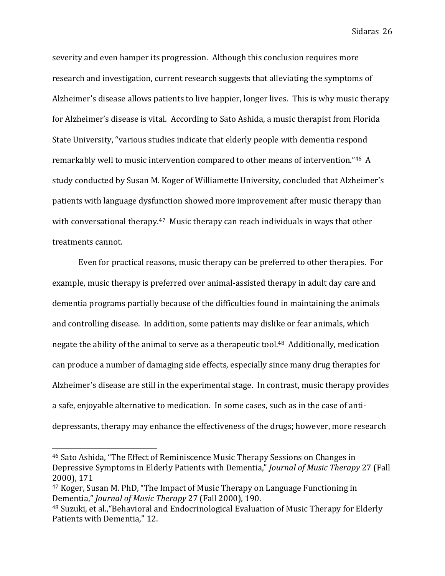severity and even hamper its progression. Although this conclusion requires more research and investigation, current research suggests that alleviating the symptoms of Alzheimer's disease allows patients to live happier, longer lives. This is why music therapy for Alzheimer's disease is vital. According to Sato Ashida, a music therapist from Florida State University, "various studies indicate that elderly people with dementia respond remarkably well to music intervention compared to other means of intervention."46 A study conducted by Susan M. Koger of Williamette University, concluded that Alzheimer's patients with language dysfunction showed more improvement after music therapy than with conversational therapy.<sup>47</sup> Music therapy can reach individuals in ways that other treatments cannot.

Even for practical reasons, music therapy can be preferred to other therapies. For example, music therapy is preferred over animal-assisted therapy in adult day care and dementia programs partially because of the difficulties found in maintaining the animals and controlling disease. In addition, some patients may dislike or fear animals, which negate the ability of the animal to serve as a therapeutic tool.<sup>48</sup> Additionally, medication can produce a number of damaging side effects, especially since many drug therapies for Alzheimer's disease are still in the experimental stage. In contrast, music therapy provides a safe, enjoyable alternative to medication. In some cases, such as in the case of antidepressants, therapy may enhance the effectiveness of the drugs; however, more research

<sup>46</sup> Sato Ashida, "The Effect of Reminiscence Music Therapy Sessions on Changes in Depressive Symptoms in Elderly Patients with Dementia," Journal of Music Therapy 27 (Fall 2000), 171

<sup>47</sup> Koger, Susan M. PhD, "The Impact of Music Therapy on Language Functioning in Dementia," Journal of Music Therapy 27 (Fall 2000), 190.

<sup>48</sup> Suzuki, et al.,"Behavioral and Endocrinological Evaluation of Music Therapy for Elderly Patients with Dementia," 12.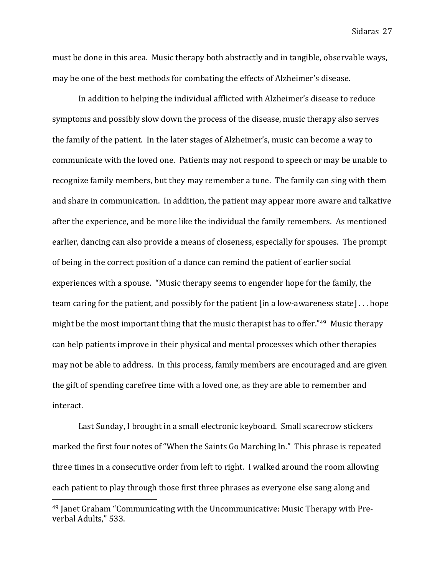must be done in this area. Music therapy both abstractly and in tangible, observable ways, may be one of the best methods for combating the effects of Alzheimer's disease.

In addition to helping the individual afflicted with Alzheimer's disease to reduce symptoms and possibly slow down the process of the disease, music therapy also serves the family of the patient. In the later stages of Alzheimer's, music can become a way to communicate with the loved one. Patients may not respond to speech or may be unable to recognize family members, but they may remember a tune. The family can sing with them and share in communication. In addition, the patient may appear more aware and talkative after the experience, and be more like the individual the family remembers. As mentioned earlier, dancing can also provide a means of closeness, especially for spouses. The prompt of being in the correct position of a dance can remind the patient of earlier social experiences with a spouse. "Music therapy seems to engender hope for the family, the team caring for the patient, and possibly for the patient [in a low-awareness state] . . . hope might be the most important thing that the music therapist has to offer."49 Music therapy can help patients improve in their physical and mental processes which other therapies may not be able to address. In this process, family members are encouraged and are given the gift of spending carefree time with a loved one, as they are able to remember and interact.

Last Sunday, I brought in a small electronic keyboard. Small scarecrow stickers marked the first four notes of "When the Saints Go Marching In." This phrase is repeated three times in a consecutive order from left to right. I walked around the room allowing each patient to play through those first three phrases as everyone else sang along and

<sup>49</sup> Janet Graham "Communicating with the Uncommunicative: Music Therapy with Preverbal Adults," 533.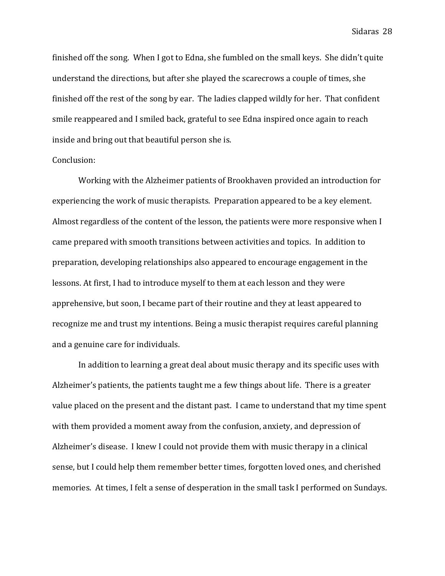finished off the song. When I got to Edna, she fumbled on the small keys. She didn't quite understand the directions, but after she played the scarecrows a couple of times, she finished off the rest of the song by ear. The ladies clapped wildly for her. That confident smile reappeared and I smiled back, grateful to see Edna inspired once again to reach inside and bring out that beautiful person she is.

### Conclusion:

 Working with the Alzheimer patients of Brookhaven provided an introduction for experiencing the work of music therapists. Preparation appeared to be a key element. Almost regardless of the content of the lesson, the patients were more responsive when I came prepared with smooth transitions between activities and topics. In addition to preparation, developing relationships also appeared to encourage engagement in the lessons. At first, I had to introduce myself to them at each lesson and they were apprehensive, but soon, I became part of their routine and they at least appeared to recognize me and trust my intentions. Being a music therapist requires careful planning and a genuine care for individuals.

 In addition to learning a great deal about music therapy and its specific uses with Alzheimer's patients, the patients taught me a few things about life. There is a greater value placed on the present and the distant past. I came to understand that my time spent with them provided a moment away from the confusion, anxiety, and depression of Alzheimer's disease. I knew I could not provide them with music therapy in a clinical sense, but I could help them remember better times, forgotten loved ones, and cherished memories. At times, I felt a sense of desperation in the small task I performed on Sundays.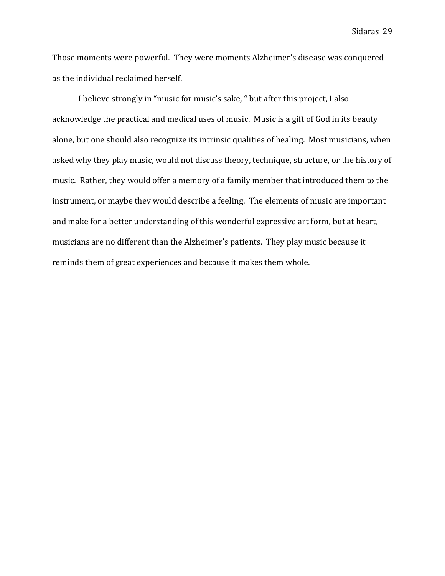Those moments were powerful. They were moments Alzheimer's disease was conquered as the individual reclaimed herself.

 I believe strongly in "music for music's sake, " but after this project, I also acknowledge the practical and medical uses of music. Music is a gift of God in its beauty alone, but one should also recognize its intrinsic qualities of healing. Most musicians, when asked why they play music, would not discuss theory, technique, structure, or the history of music. Rather, they would offer a memory of a family member that introduced them to the instrument, or maybe they would describe a feeling. The elements of music are important and make for a better understanding of this wonderful expressive art form, but at heart, musicians are no different than the Alzheimer's patients. They play music because it reminds them of great experiences and because it makes them whole.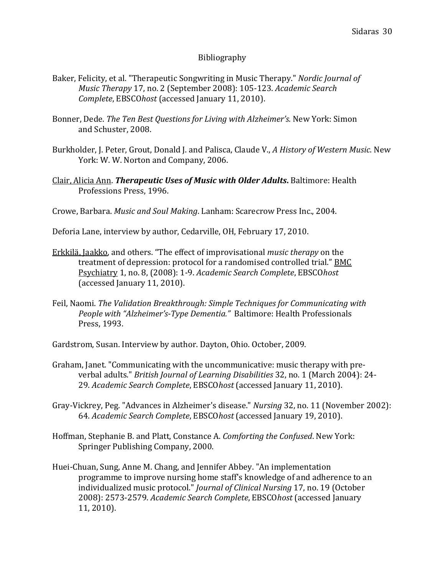### Bibliography

- Baker, Felicity, et al. "Therapeutic Songwriting in Music Therapy." Nordic Journal of Music Therapy 17, no. 2 (September 2008): 105-123. Academic Search Complete, EBSCOhost (accessed January 11, 2010).
- Bonner, Dede. The Ten Best Questions for Living with Alzheimer's. New York: Simon and Schuster, 2008.
- Burkholder, J. Peter, Grout, Donald J. and Palisca, Claude V., A History of Western Music. New York: W. W. Norton and Company, 2006.
- Clair, Alicia Ann. Therapeutic Uses of Music with Older Adults. Baltimore: Health Professions Press, 1996.
- Crowe, Barbara. Music and Soul Making. Lanham: Scarecrow Press Inc., 2004.
- Deforia Lane, interview by author, Cedarville, OH, February 17, 2010.
- Erkkilä, Jaakko, and others. "The effect of improvisational music therapy on the treatment of depression: protocol for a randomised controlled trial." BMC Psychiatry 1, no. 8, (2008): 1-9. Academic Search Complete, EBSCOhost (accessed January 11, 2010).
- Feil, Naomi. The Validation Breakthrough: Simple Techniques for Communicating with People with "Alzheimer's-Type Dementia." Baltimore: Health Professionals Press, 1993.
- Gardstrom, Susan. Interview by author. Dayton, Ohio. October, 2009.
- Graham, Janet. "Communicating with the uncommunicative: music therapy with preverbal adults." British Journal of Learning Disabilities 32, no. 1 (March 2004): 24- 29. Academic Search Complete, EBSCOhost (accessed January 11, 2010).
- Gray-Vickrey, Peg. "Advances in Alzheimer's disease." Nursing 32, no. 11 (November 2002): 64. Academic Search Complete, EBSCOhost (accessed January 19, 2010).
- Hoffman, Stephanie B. and Platt, Constance A. Comforting the Confused. New York: Springer Publishing Company, 2000.
- Huei-Chuan, Sung, Anne M. Chang, and Jennifer Abbey. "An implementation programme to improve nursing home staff's knowledge of and adherence to an individualized music protocol." Journal of Clinical Nursing 17, no. 19 (October 2008): 2573-2579. Academic Search Complete, EBSCOhost (accessed January 11, 2010).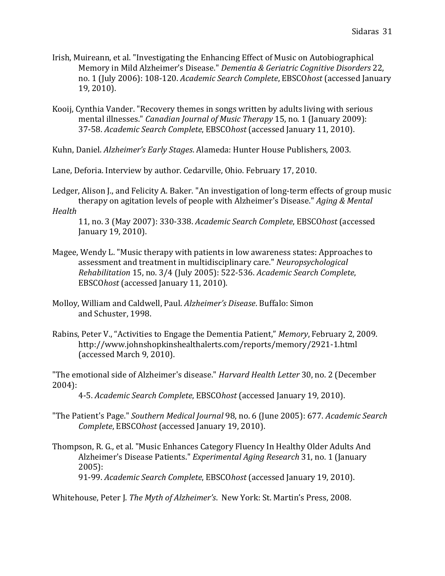- Irish, Muireann, et al. "Investigating the Enhancing Effect of Music on Autobiographical Memory in Mild Alzheimer's Disease." Dementia & Geriatric Cognitive Disorders 22, no. 1 (July 2006): 108-120. Academic Search Complete, EBSCOhost (accessed January 19, 2010).
- Kooij, Cynthia Vander. "Recovery themes in songs written by adults living with serious mental illnesses." Canadian Journal of Music Therapy 15, no. 1 (January 2009): 37-58. Academic Search Complete, EBSCOhost (accessed January 11, 2010).
- Kuhn, Daniel. Alzheimer's Early Stages. Alameda: Hunter House Publishers, 2003.

Lane, Deforia. Interview by author. Cedarville, Ohio. February 17, 2010.

Ledger, Alison J., and Felicity A. Baker. "An investigation of long-term effects of group music therapy on agitation levels of people with Alzheimer's Disease." *Aging & Mental* 

### Health

11, no. 3 (May 2007): 330-338. Academic Search Complete, EBSCOhost (accessed January 19, 2010).

- Magee, Wendy L. "Music therapy with patients in low awareness states: Approaches to assessment and treatment in multidisciplinary care." Neuropsychological Rehabilitation 15, no. 3/4 (July 2005): 522-536. Academic Search Complete, EBSCOhost (accessed January 11, 2010).
- Molloy, William and Caldwell, Paul. Alzheimer's Disease. Buffalo: Simon and Schuster, 1998.
- Rabins, Peter V., "Activities to Engage the Dementia Patient," Memory, February 2, 2009. http://www.johnshopkinshealthalerts.com/reports/memory/2921-1.html (accessed March 9, 2010).

"The emotional side of Alzheimer's disease." Harvard Health Letter 30, no. 2 (December 2004):

4-5. Academic Search Complete, EBSCOhost (accessed January 19, 2010).

- "The Patient's Page." Southern Medical Journal 98, no. 6 (June 2005): 677. Academic Search Complete, EBSCOhost (accessed January 19, 2010).
- Thompson, R. G., et al. "Music Enhances Category Fluency In Healthy Older Adults And Alzheimer's Disease Patients." Experimental Aging Research 31, no. 1 (January 2005): 91-99. Academic Search Complete, EBSCOhost (accessed January 19, 2010).

Whitehouse, Peter J. The Myth of Alzheimer's. New York: St. Martin's Press, 2008.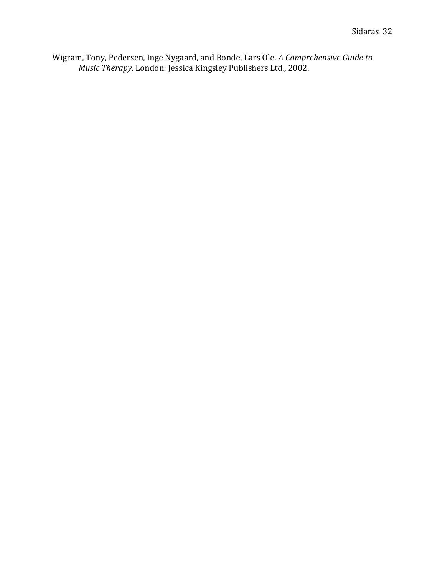Wigram, Tony, Pedersen, Inge Nygaard, and Bonde, Lars Ole. A Comprehensive Guide to Music Therapy. London: Jessica Kingsley Publishers Ltd., 2002.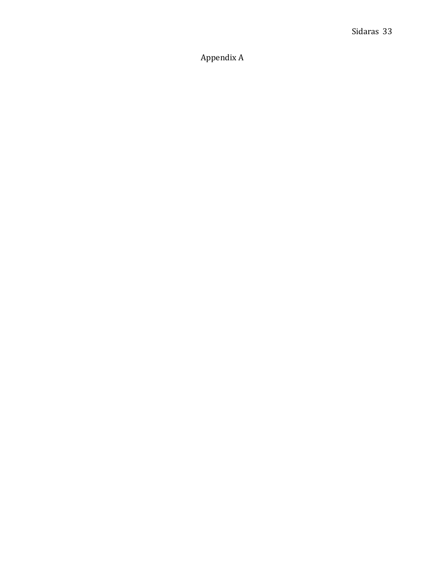# Appendix A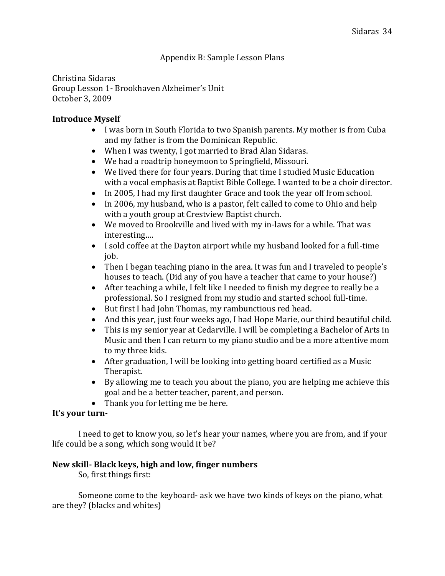Christina Sidaras Group Lesson 1- Brookhaven Alzheimer's Unit October 3, 2009

### Introduce Myself

- I was born in South Florida to two Spanish parents. My mother is from Cuba and my father is from the Dominican Republic.
- When I was twenty, I got married to Brad Alan Sidaras.
- We had a roadtrip honeymoon to Springfield, Missouri.
- We lived there for four years. During that time I studied Music Education with a vocal emphasis at Baptist Bible College. I wanted to be a choir director.
- In 2005, I had my first daughter Grace and took the year off from school.
- In 2006, my husband, who is a pastor, felt called to come to Ohio and help with a youth group at Crestview Baptist church.
- We moved to Brookville and lived with my in-laws for a while. That was interesting….
- I sold coffee at the Dayton airport while my husband looked for a full-time job.
- Then I began teaching piano in the area. It was fun and I traveled to people's houses to teach. (Did any of you have a teacher that came to your house?)
- After teaching a while, I felt like I needed to finish my degree to really be a professional. So I resigned from my studio and started school full-time.
- But first I had John Thomas, my rambunctious red head.
- And this year, just four weeks ago, I had Hope Marie, our third beautiful child.
- This is my senior year at Cedarville. I will be completing a Bachelor of Arts in Music and then I can return to my piano studio and be a more attentive mom to my three kids.
- After graduation, I will be looking into getting board certified as a Music Therapist.
- By allowing me to teach you about the piano, you are helping me achieve this goal and be a better teacher, parent, and person.
- Thank you for letting me be here.

# It's your turn-

 I need to get to know you, so let's hear your names, where you are from, and if your life could be a song, which song would it be?

# New skill- Black keys, high and low, finger numbers

So, first things first:

 Someone come to the keyboard- ask we have two kinds of keys on the piano, what are they? (blacks and whites)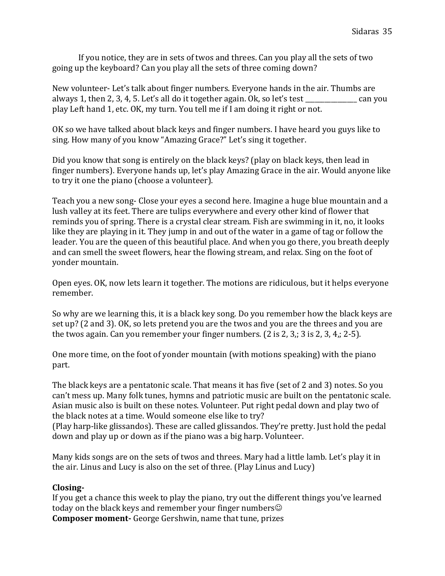If you notice, they are in sets of twos and threes. Can you play all the sets of two going up the keyboard? Can you play all the sets of three coming down?

New volunteer- Let's talk about finger numbers. Everyone hands in the air. Thumbs are always 1, then 2, 3, 4, 5. Let's all do it together again. Ok, so let's test \_\_\_\_\_\_\_\_\_\_\_\_\_\_\_\_ can you play Left hand 1, etc. OK, my turn. You tell me if I am doing it right or not.

OK so we have talked about black keys and finger numbers. I have heard you guys like to sing. How many of you know "Amazing Grace?" Let's sing it together.

Did you know that song is entirely on the black keys? (play on black keys, then lead in finger numbers). Everyone hands up, let's play Amazing Grace in the air. Would anyone like to try it one the piano (choose a volunteer).

Teach you a new song- Close your eyes a second here. Imagine a huge blue mountain and a lush valley at its feet. There are tulips everywhere and every other kind of flower that reminds you of spring. There is a crystal clear stream. Fish are swimming in it, no, it looks like they are playing in it. They jump in and out of the water in a game of tag or follow the leader. You are the queen of this beautiful place. And when you go there, you breath deeply and can smell the sweet flowers, hear the flowing stream, and relax. Sing on the foot of yonder mountain.

Open eyes. OK, now lets learn it together. The motions are ridiculous, but it helps everyone remember.

So why are we learning this, it is a black key song. Do you remember how the black keys are set up? (2 and 3). OK, so lets pretend you are the twos and you are the threes and you are the twos again. Can you remember your finger numbers. (2 is 2, 3,; 3 is 2, 3, 4,; 2-5).

One more time, on the foot of yonder mountain (with motions speaking) with the piano part.

The black keys are a pentatonic scale. That means it has five (set of 2 and 3) notes. So you can't mess up. Many folk tunes, hymns and patriotic music are built on the pentatonic scale. Asian music also is built on these notes. Volunteer. Put right pedal down and play two of the black notes at a time. Would someone else like to try?

(Play harp-like glissandos). These are called glissandos. They're pretty. Just hold the pedal down and play up or down as if the piano was a big harp. Volunteer.

Many kids songs are on the sets of twos and threes. Mary had a little lamb. Let's play it in the air. Linus and Lucy is also on the set of three. (Play Linus and Lucy)

### Closing-

If you get a chance this week to play the piano, try out the different things you've learned today on the black keys and remember your finger numbers $\odot$ Composer moment- George Gershwin, name that tune, prizes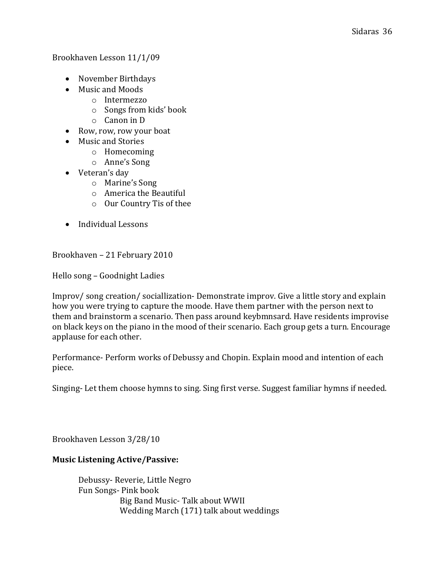Brookhaven Lesson 11/1/09

- November Birthdays
- Music and Moods
	- o Intermezzo
	- o Songs from kids' book
	- o Canon in D
- Row, row, row your boat
- Music and Stories
	- o Homecoming
	- o Anne's Song
- Veteran's day
	- o Marine's Song
	- o America the Beautiful
	- o Our Country Tis of thee
- Individual Lessons

Brookhaven – 21 February 2010

Hello song – Goodnight Ladies

Improv/ song creation/ sociallization- Demonstrate improv. Give a little story and explain how you were trying to capture the moode. Have them partner with the person next to them and brainstorm a scenario. Then pass around keybmnsard. Have residents improvise on black keys on the piano in the mood of their scenario. Each group gets a turn. Encourage applause for each other.

Performance- Perform works of Debussy and Chopin. Explain mood and intention of each piece.

Singing- Let them choose hymns to sing. Sing first verse. Suggest familiar hymns if needed.

Brookhaven Lesson 3/28/10

### Music Listening Active/Passive:

 Debussy- Reverie, Little Negro Fun Songs- Pink book Big Band Music- Talk about WWII Wedding March (171) talk about weddings